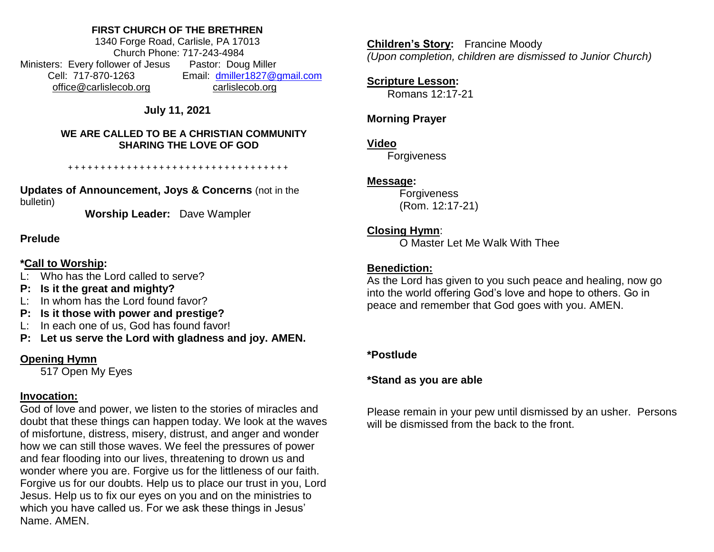#### **FIRST CHURCH OF THE BRETHREN**

1340 Forge Road, Carlisle, PA 17013 Church Phone: 717-243-4984 Ministers: Every follower of Jesus Pastor: Doug Miller Cell: 717-870-1263 Email: [dmiller1827@gmail.com](mailto:dmiller1827@gmail.com) [office@carlislecob.org](mailto:office@carlislecob.org) carlislecob.org

**July 11, 2021**

#### **WE ARE CALLED TO BE A CHRISTIAN COMMUNITY SHARING THE LOVE OF GOD**

+ + + + + + + + + + + + + + + + + + + + + + + + + + + + + + + + + +

**Updates of Announcement, Joys & Concerns** (not in the bulletin)

**Worship Leader:** Dave Wampler

### **Prelude**

## **\*Call to Worship:**

- L: Who has the Lord called to serve?
- **P: Is it the great and mighty?**
- L: In whom has the Lord found favor?
- **P: Is it those with power and prestige?**
- L: In each one of us, God has found favor!
- **P: Let us serve the Lord with gladness and joy. AMEN.**

# **Opening Hymn**

517 Open My Eyes

# **Invocation:**

God of love and power, we listen to the stories of miracles and doubt that these things can happen today. We look at the waves of misfortune, distress, misery, distrust, and anger and wonder how we can still those waves. We feel the pressures of power and fear flooding into our lives, threatening to drown us and wonder where you are. Forgive us for the littleness of our faith. Forgive us for our doubts. Help us to place our trust in you, Lord Jesus. Help us to fix our eyes on you and on the ministries to which you have called us. For we ask these things in Jesus' Name. AMEN.

**Children's Story:** Francine Moody *(Upon completion, children are dismissed to Junior Church)*

# **Scripture Lesson:**

Romans 12:17-21

# **Morning Prayer**

### **Video**

**Forgiveness** 

## **Message:**

**Forgiveness** (Rom. 12:17-21)

# **Closing Hymn**:

O Master Let Me Walk With Thee

# **Benediction:**

As the Lord has given to you such peace and healing, now go into the world offering God's love and hope to others. Go in peace and remember that God goes with you. AMEN.

## **\*Postlude**

# **\*Stand as you are able**

Please remain in your pew until dismissed by an usher. Persons will be dismissed from the back to the front.